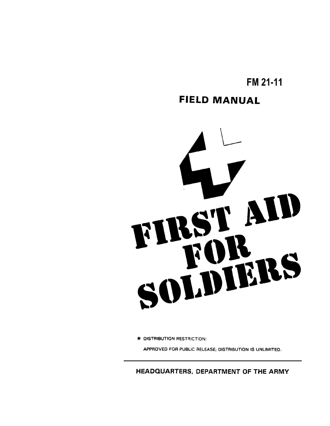**FM 21-11**

## **FIELD MANUAL**



\* DISTRIBUTION RESTRICTION:

APPROVED FOR PUBLIC RELEASE; DISTRIBUTION IS UNLIMITED.

**HEADQUARTERS, DEPARTMENT OF THE ARMY**